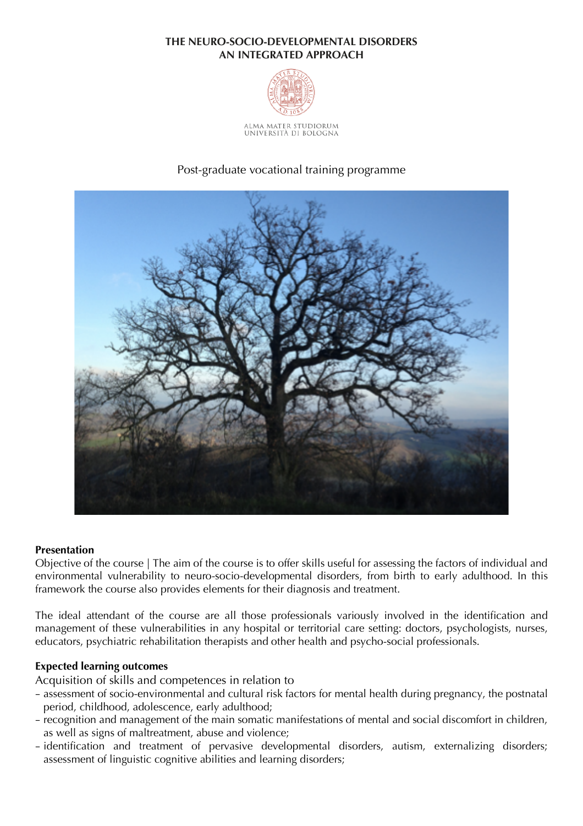## **THE NEURO-SOCIO-DEVELOPMENTAL DISORDERS AN INTEGRATED APPROACH**



ALMA MATER STUDIORUM<br>Università di Bologna

# Post-graduate vocational training programme



## **Presentation**

Objective of the course | The aim of the course is to offer skills useful for assessing the factors of individual and environmental vulnerability to neuro-socio-developmental disorders, from birth to early adulthood. In this framework the course also provides elements for their diagnosis and treatment.

The ideal attendant of the course are all those professionals variously involved in the identification and management of these vulnerabilities in any hospital or territorial care setting: doctors, psychologists, nurses, educators, psychiatric rehabilitation therapists and other health and psycho-social professionals.

#### **Expected learning outcomes**

Acquisition of skills and competences in relation to

- assessment of socio-environmental and cultural risk factors for mental health during pregnancy, the postnatal period, childhood, adolescence, early adulthood;
- recognition and management of the main somatic manifestations of mental and social discomfort in children, as well as signs of maltreatment, abuse and violence;
- identification and treatment of pervasive developmental disorders, autism, externalizing disorders; assessment of linguistic cognitive abilities and learning disorders;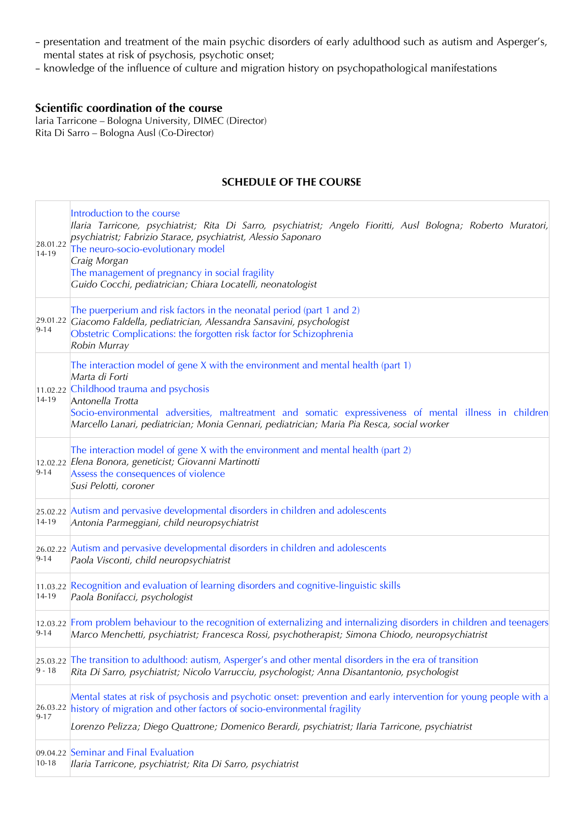- presentation and treatment of the main psychic disorders of early adulthood such as autism and Asperger's, mental states at risk of psychosis, psychotic onset;
- knowledge of the influence of culture and migration history on psychopathological manifestations

# **Scientific coordination of the course**

laria Tarricone – Bologna University, DIMEC (Director) Rita Di Sarro – Bologna Ausl (Co-Director)

## **SCHEDULE OF THE COURSE**

| 28.01.22<br>14-19    | Introduction to the course<br>Ilaria Tarricone, psychiatrist; Rita Di Sarro, psychiatrist; Angelo Fioritti, Ausl Bologna; Roberto Muratori,<br>psychiatrist; Fabrizio Starace, psychiatrist, Alessio Saponaro<br>The neuro-socio-evolutionary model<br>Craig Morgan<br>The management of pregnancy in social fragility<br>Guido Cocchi, pediatrician; Chiara Locatelli, neonatologist |
|----------------------|---------------------------------------------------------------------------------------------------------------------------------------------------------------------------------------------------------------------------------------------------------------------------------------------------------------------------------------------------------------------------------------|
| $9 - 14$             | The puerperium and risk factors in the neonatal period (part 1 and 2)<br>29.01.22 Giacomo Faldella, pediatrician, Alessandra Sansavini, psychologist<br>Obstetric Complications: the forgotten risk factor for Schizophrenia<br>Robin Murray                                                                                                                                          |
| 14-19                | The interaction model of gene X with the environment and mental health (part 1)<br>Marta di Forti<br>11.02.22 Childhood trauma and psychosis<br>Antonella Trotta<br>Socio-environmental adversities, maltreatment and somatic expressiveness of mental illness in children<br>Marcello Lanari, pediatrician; Monia Gennari, pediatrician; Maria Pia Resca, social worker              |
| $9 - 14$             | The interaction model of gene X with the environment and mental health (part 2)<br>12.02.22 Elena Bonora, geneticist; Giovanni Martinotti<br>Assess the consequences of violence<br>Susi Pelotti, coroner                                                                                                                                                                             |
| 14-19                | 25.02.22 Autism and pervasive developmental disorders in children and adolescents<br>Antonia Parmeggiani, child neuropsychiatrist                                                                                                                                                                                                                                                     |
| $9 - 14$             | 26.02.22 Autism and pervasive developmental disorders in children and adolescents<br>Paola Visconti, child neuropsychiatrist                                                                                                                                                                                                                                                          |
| 14-19                | 11.03.22 Recognition and evaluation of learning disorders and cognitive-linguistic skills<br>Paola Bonifacci, psychologist                                                                                                                                                                                                                                                            |
| $9 - 14$             | 12.03.22 From problem behaviour to the recognition of externalizing and internalizing disorders in children and teenagers<br>Marco Menchetti, psychiatrist; Francesca Rossi, psychotherapist; Simona Chiodo, neuropsychiatrist                                                                                                                                                        |
| $9 - 18$             | 25.03.22 The transition to adulthood: autism, Asperger's and other mental disorders in the era of transition<br>Rita Di Sarro, psychiatrist; Nicolo Varrucciu, psychologist; Anna Disantantonio, psychologist                                                                                                                                                                         |
| 26.03.22<br>$9 - 17$ | Mental states at risk of psychosis and psychotic onset: prevention and early intervention for young people with a<br>history of migration and other factors of socio-environmental fragility                                                                                                                                                                                          |
|                      | Lorenzo Pelizza; Diego Quattrone; Domenico Berardi, psychiatrist; Ilaria Tarricone, psychiatrist                                                                                                                                                                                                                                                                                      |
| $10 - 18$            | 09.04.22 Seminar and Final Evaluation<br>Ilaria Tarricone, psychiatrist; Rita Di Sarro, psychiatrist                                                                                                                                                                                                                                                                                  |